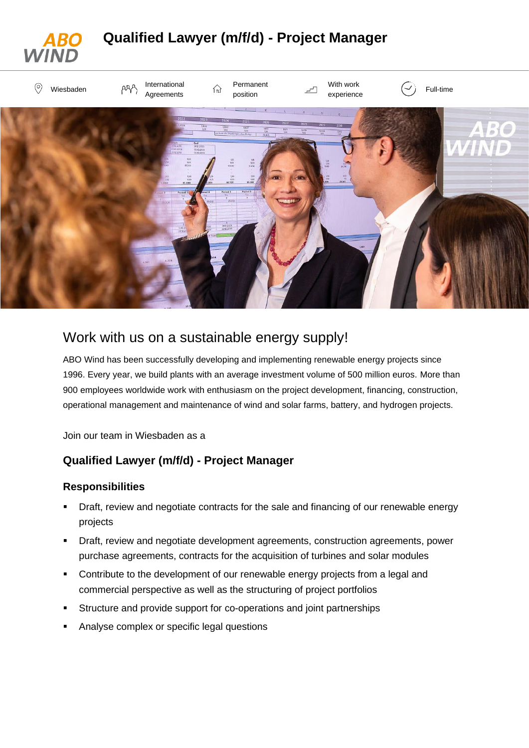

# Work with us on a sustainable energy supply!

ABO Wind has been successfully developing and implementing renewable energy projects since 1996. Every year, we build plants with an average investment volume of 500 million euros. More than 900 employees worldwide work with enthusiasm on the project development, financing, construction, operational management and maintenance of wind and solar farms, battery, and hydrogen projects.

Join our team in Wiesbaden as a

### **Qualified Lawyer (m/f/d) - Project Manager**

#### **Responsibilities**

- Draft, review and negotiate contracts for the sale and financing of our renewable energy projects
- Draft, review and negotiate development agreements, construction agreements, power purchase agreements, contracts for the acquisition of turbines and solar modules
- Contribute to the development of our renewable energy projects from a legal and commercial perspective as well as the structuring of project portfolios
- Structure and provide support for co-operations and joint partnerships
- Analyse complex or specific legal questions